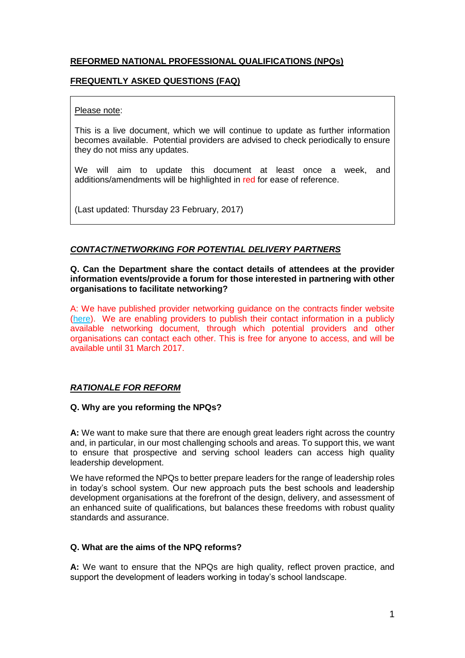# **REFORMED NATIONAL PROFESSIONAL QUALIFICATIONS (NPQs)**

# **FREQUENTLY ASKED QUESTIONS (FAQ)**

## Please note:

This is a live document, which we will continue to update as further information becomes available. Potential providers are advised to check periodically to ensure they do not miss any updates.

We will aim to update this document at least once a week, and additions/amendments will be highlighted in red for ease of reference.

(Last updated: Thursday 23 February, 2017)

# *CONTACT/NETWORKING FOR POTENTIAL DELIVERY PARTNERS*

**Q. Can the Department share the contact details of attendees at the provider information events/provide a forum for those interested in partnering with other organisations to facilitate networking?**

A: We have published provider networking guidance on the contracts finder website [\(here\)](https://www.contractsfinder.service.gov.uk/Notice/88023b42-0bbd-4dd9-b368-48ccdc503aaa?p=@RPT0=NjJNT08=UFQxUlR). We are enabling providers to publish their contact information in a publicly available networking document, through which potential providers and other organisations can contact each other. This is free for anyone to access, and will be available until 31 March 2017.

# *RATIONALE FOR REFORM*

## **Q. Why are you reforming the NPQs?**

**A:** We want to make sure that there are enough great leaders right across the country and, in particular, in our most challenging schools and areas. To support this, we want to ensure that prospective and serving school leaders can access high quality leadership development.

We have reformed the NPQs to better prepare leaders for the range of leadership roles in today's school system. Our new approach puts the best schools and leadership development organisations at the forefront of the design, delivery, and assessment of an enhanced suite of qualifications, but balances these freedoms with robust quality standards and assurance.

#### **Q. What are the aims of the NPQ reforms?**

**A:** We want to ensure that the NPQs are high quality, reflect proven practice, and support the development of leaders working in today's school landscape.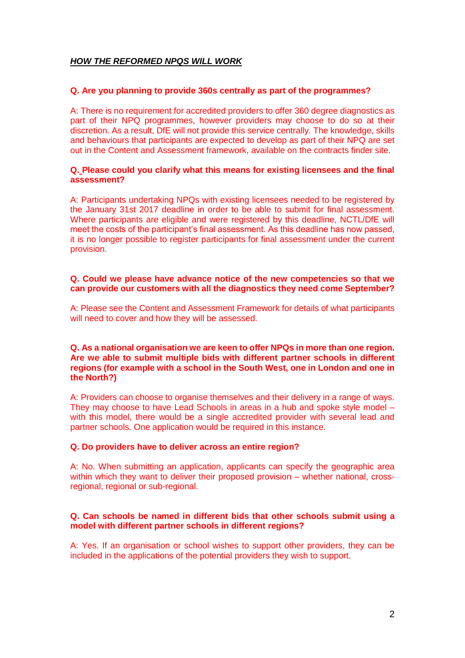# *HOW THE REFORMED NPQS WILL WORK*

## **Q. Are you planning to provide 360s centrally as part of the programmes?**

A: There is no requirement for accredited providers to offer 360 degree diagnostics as part of their NPQ programmes, however providers may choose to do so at their discretion. As a result, DfE will not provide this service centrally. The knowledge, skills and behaviours that participants are expected to develop as part of their NPQ are set out in the Content and Assessment framework, available on the contracts finder site.

## **Q. Please could you clarify what this means for existing licensees and the final assessment?**

A: Participants undertaking NPQs with existing licensees needed to be registered by the January 31st 2017 deadline in order to be able to submit for final assessment. Where participants are eligible and were registered by this deadline, NCTL/DfE will meet the costs of the participant's final assessment. As this deadline has now passed, it is no longer possible to register participants for final assessment under the current provision.

## **Q. Could we please have advance notice of the new competencies so that we can provide our customers with all the diagnostics they need come September?**

A: Please see the Content and Assessment Framework for details of what participants will need to cover and how they will be assessed.

## **Q. As a national organisation we are keen to offer NPQs in more than one region. Are we able to submit multiple bids with different partner schools in different regions (for example with a school in the South West, one in London and one in the North?)**

A: Providers can choose to organise themselves and their delivery in a range of ways. They may choose to have Lead Schools in areas in a hub and spoke style model – with this model, there would be a single accredited provider with several lead and partner schools. One application would be required in this instance.

#### **Q. Do providers have to deliver across an entire region?**

A: No. When submitting an application, applicants can specify the geographic area within which they want to deliver their proposed provision – whether national, crossregional, regional or sub-regional.

## **Q. Can schools be named in different bids that other schools submit using a model with different partner schools in different regions?**

A: Yes. If an organisation or school wishes to support other providers, they can be included in the applications of the potential providers they wish to support.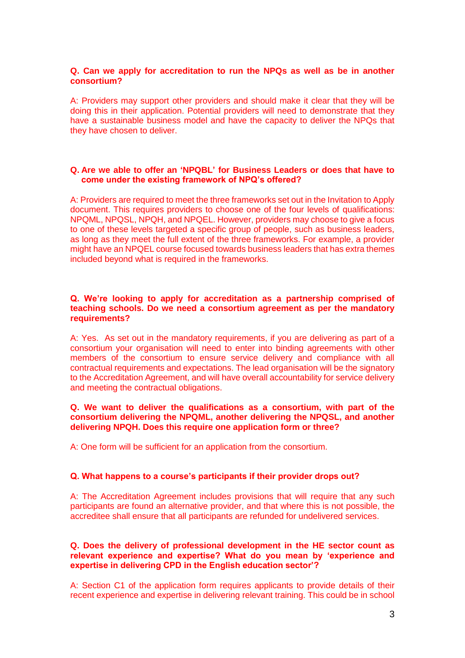## **Q. Can we apply for accreditation to run the NPQs as well as be in another consortium?**

A: Providers may support other providers and should make it clear that they will be doing this in their application. Potential providers will need to demonstrate that they have a sustainable business model and have the capacity to deliver the NPQs that they have chosen to deliver.

## **Q. Are we able to offer an 'NPQBL' for Business Leaders or does that have to come under the existing framework of NPQ's offered?**

A: Providers are required to meet the three frameworks set out in the Invitation to Apply document. This requires providers to choose one of the four levels of qualifications: NPQML, NPQSL, NPQH, and NPQEL. However, providers may choose to give a focus to one of these levels targeted a specific group of people, such as business leaders, as long as they meet the full extent of the three frameworks. For example, a provider might have an NPQEL course focused towards business leaders that has extra themes included beyond what is required in the frameworks.

#### **Q. We're looking to apply for accreditation as a partnership comprised of teaching schools. Do we need a consortium agreement as per the mandatory requirements?**

A: Yes. As set out in the mandatory requirements, if you are delivering as part of a consortium your organisation will need to enter into binding agreements with other members of the consortium to ensure service delivery and compliance with all contractual requirements and expectations. The lead organisation will be the signatory to the Accreditation Agreement, and will have overall accountability for service delivery and meeting the contractual obligations.

### **Q. We want to deliver the qualifications as a consortium, with part of the consortium delivering the NPQML, another delivering the NPQSL, and another delivering NPQH. Does this require one application form or three?**

A: One form will be sufficient for an application from the consortium.

#### **Q. What happens to a course's participants if their provider drops out?**

A: The Accreditation Agreement includes provisions that will require that any such participants are found an alternative provider, and that where this is not possible, the accreditee shall ensure that all participants are refunded for undelivered services.

### **Q. Does the delivery of professional development in the HE sector count as relevant experience and expertise? What do you mean by 'experience and expertise in delivering CPD in the English education sector'?**

A: Section C1 of the application form requires applicants to provide details of their recent experience and expertise in delivering relevant training. This could be in school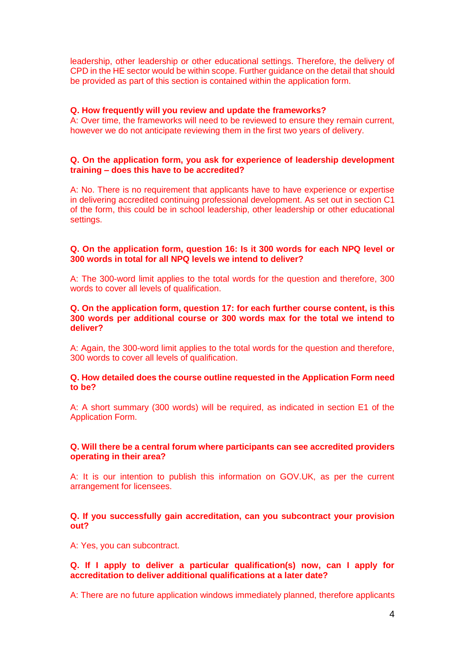leadership, other leadership or other educational settings. Therefore, the delivery of CPD in the HE sector would be within scope. Further guidance on the detail that should be provided as part of this section is contained within the application form.

### **Q. How frequently will you review and update the frameworks?**

A: Over time, the frameworks will need to be reviewed to ensure they remain current, however we do not anticipate reviewing them in the first two years of delivery.

## **Q. On the application form, you ask for experience of leadership development training – does this have to be accredited?**

A: No. There is no requirement that applicants have to have experience or expertise in delivering accredited continuing professional development. As set out in section C1 of the form, this could be in school leadership, other leadership or other educational settings.

## **Q. On the application form, question 16: Is it 300 words for each NPQ level or 300 words in total for all NPQ levels we intend to deliver?**

A: The 300-word limit applies to the total words for the question and therefore, 300 words to cover all levels of qualification.

### **Q. On the application form, question 17: for each further course content, is this 300 words per additional course or 300 words max for the total we intend to deliver?**

A: Again, the 300-word limit applies to the total words for the question and therefore, 300 words to cover all levels of qualification.

#### **Q. How detailed does the course outline requested in the Application Form need to be?**

A: A short summary (300 words) will be required, as indicated in section E1 of the Application Form.

#### **Q. Will there be a central forum where participants can see accredited providers operating in their area?**

A: It is our intention to publish this information on GOV.UK, as per the current arrangement for licensees.

## **Q. If you successfully gain accreditation, can you subcontract your provision out?**

A: Yes, you can subcontract.

## **Q. If I apply to deliver a particular qualification(s) now, can I apply for accreditation to deliver additional qualifications at a later date?**

A: There are no future application windows immediately planned, therefore applicants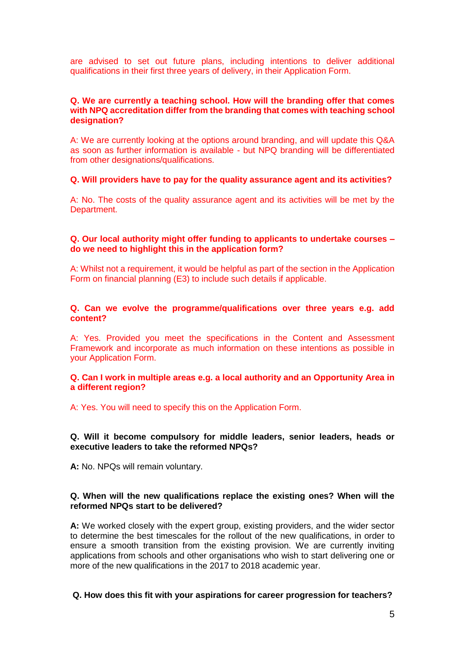are advised to set out future plans, including intentions to deliver additional qualifications in their first three years of delivery, in their Application Form.

### **Q. We are currently a teaching school. How will the branding offer that comes with NPQ accreditation differ from the branding that comes with teaching school designation?**

A: We are currently looking at the options around branding, and will update this Q&A as soon as further information is available - but NPQ branding will be differentiated from other designations/qualifications.

## **Q. Will providers have to pay for the quality assurance agent and its activities?**

A: No. The costs of the quality assurance agent and its activities will be met by the Department.

## **Q. Our local authority might offer funding to applicants to undertake courses – do we need to highlight this in the application form?**

A: Whilst not a requirement, it would be helpful as part of the section in the Application Form on financial planning (E3) to include such details if applicable.

### **Q. Can we evolve the programme/qualifications over three years e.g. add content?**

A: Yes. Provided you meet the specifications in the Content and Assessment Framework and incorporate as much information on these intentions as possible in your Application Form.

#### **Q. Can I work in multiple areas e.g. a local authority and an Opportunity Area in a different region?**

A: Yes. You will need to specify this on the Application Form.

#### **Q. Will it become compulsory for middle leaders, senior leaders, heads or executive leaders to take the reformed NPQs?**

**A:** No. NPQs will remain voluntary.

## **Q. When will the new qualifications replace the existing ones? When will the reformed NPQs start to be delivered?**

**A:** We worked closely with the expert group, existing providers, and the wider sector to determine the best timescales for the rollout of the new qualifications, in order to ensure a smooth transition from the existing provision. We are currently inviting applications from schools and other organisations who wish to start delivering one or more of the new qualifications in the 2017 to 2018 academic year.

#### **Q. How does this fit with your aspirations for career progression for teachers?**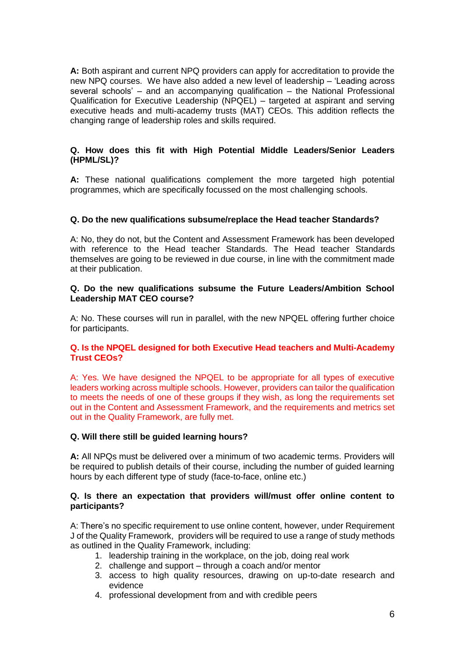**A:** Both aspirant and current NPQ providers can apply for accreditation to provide the new NPQ courses. We have also added a new level of leadership – 'Leading across several schools' – and an accompanying qualification – the National Professional Qualification for Executive Leadership (NPQEL) – targeted at aspirant and serving executive heads and multi-academy trusts (MAT) CEOs. This addition reflects the changing range of leadership roles and skills required.

## **Q. How does this fit with High Potential Middle Leaders/Senior Leaders (HPML/SL)?**

**A:** These national qualifications complement the more targeted high potential programmes, which are specifically focussed on the most challenging schools.

## **Q. Do the new qualifications subsume/replace the Head teacher Standards?**

A: No, they do not, but the Content and Assessment Framework has been developed with reference to the Head teacher Standards. The Head teacher Standards themselves are going to be reviewed in due course, in line with the commitment made at their publication.

### **Q. Do the new qualifications subsume the Future Leaders/Ambition School Leadership MAT CEO course?**

A: No. These courses will run in parallel, with the new NPQEL offering further choice for participants.

## **Q. Is the NPQEL designed for both Executive Head teachers and Multi-Academy Trust CEOs?**

A: Yes. We have designed the NPQEL to be appropriate for all types of executive leaders working across multiple schools. However, providers can tailor the qualification to meets the needs of one of these groups if they wish, as long the requirements set out in the Content and Assessment Framework, and the requirements and metrics set out in the Quality Framework, are fully met.

#### **Q. Will there still be guided learning hours?**

**A:** All NPQs must be delivered over a minimum of two academic terms. Providers will be required to publish details of their course, including the number of guided learning hours by each different type of study (face-to-face, online etc.)

## **Q. Is there an expectation that providers will/must offer online content to participants?**

A: There's no specific requirement to use online content, however, under Requirement J of the Quality Framework, providers will be required to use a range of study methods as outlined in the Quality Framework, including:

- 1. leadership training in the workplace, on the job, doing real work
- 2. challenge and support through a coach and/or mentor
- 3. access to high quality resources, drawing on up-to-date research and evidence
- 4. professional development from and with credible peers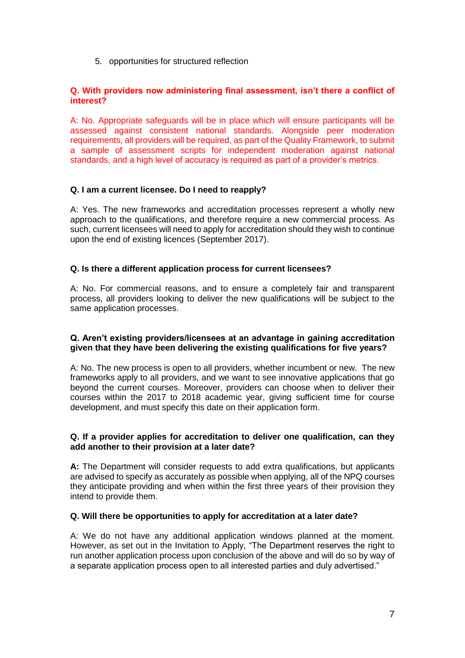5. opportunities for structured reflection

## **Q. With providers now administering final assessment, isn't there a conflict of interest?**

A: No. Appropriate safeguards will be in place which will ensure participants will be assessed against consistent national standards. Alongside peer moderation requirements, all providers will be required, as part of the Quality Framework, to submit a sample of assessment scripts for independent moderation against national standards, and a high level of accuracy is required as part of a provider's metrics.

## **Q. I am a current licensee. Do I need to reapply?**

A: Yes. The new frameworks and accreditation processes represent a wholly new approach to the qualifications, and therefore require a new commercial process. As such, current licensees will need to apply for accreditation should they wish to continue upon the end of existing licences (September 2017).

## **Q. Is there a different application process for current licensees?**

A: No. For commercial reasons, and to ensure a completely fair and transparent process, all providers looking to deliver the new qualifications will be subject to the same application processes.

## **Q. Aren't existing providers/licensees at an advantage in gaining accreditation given that they have been delivering the existing qualifications for five years?**

A: No. The new process is open to all providers, whether incumbent or new. The new frameworks apply to all providers, and we want to see innovative applications that go beyond the current courses. Moreover, providers can choose when to deliver their courses within the 2017 to 2018 academic year, giving sufficient time for course development, and must specify this date on their application form.

## **Q. If a provider applies for accreditation to deliver one qualification, can they add another to their provision at a later date?**

**A:** The Department will consider requests to add extra qualifications, but applicants are advised to specify as accurately as possible when applying, all of the NPQ courses they anticipate providing and when within the first three years of their provision they intend to provide them.

## **Q. Will there be opportunities to apply for accreditation at a later date?**

A: We do not have any additional application windows planned at the moment. However, as set out in the Invitation to Apply, "The Department reserves the right to run another application process upon conclusion of the above and will do so by way of a separate application process open to all interested parties and duly advertised."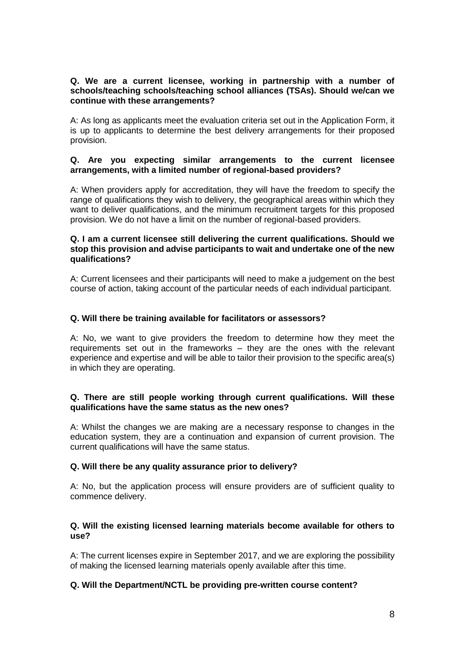## **Q. We are a current licensee, working in partnership with a number of schools/teaching schools/teaching school alliances (TSAs). Should we/can we continue with these arrangements?**

A: As long as applicants meet the evaluation criteria set out in the Application Form, it is up to applicants to determine the best delivery arrangements for their proposed provision.

## **Q. Are you expecting similar arrangements to the current licensee arrangements, with a limited number of regional-based providers?**

A: When providers apply for accreditation, they will have the freedom to specify the range of qualifications they wish to delivery, the geographical areas within which they want to deliver qualifications, and the minimum recruitment targets for this proposed provision. We do not have a limit on the number of regional-based providers.

## **Q. I am a current licensee still delivering the current qualifications. Should we stop this provision and advise participants to wait and undertake one of the new qualifications?**

A: Current licensees and their participants will need to make a judgement on the best course of action, taking account of the particular needs of each individual participant.

## **Q. Will there be training available for facilitators or assessors?**

A: No, we want to give providers the freedom to determine how they meet the requirements set out in the frameworks – they are the ones with the relevant experience and expertise and will be able to tailor their provision to the specific area(s) in which they are operating.

## **Q. There are still people working through current qualifications. Will these qualifications have the same status as the new ones?**

A: Whilst the changes we are making are a necessary response to changes in the education system, they are a continuation and expansion of current provision. The current qualifications will have the same status.

## **Q. Will there be any quality assurance prior to delivery?**

A: No, but the application process will ensure providers are of sufficient quality to commence delivery.

## **Q. Will the existing licensed learning materials become available for others to use?**

A: The current licenses expire in September 2017, and we are exploring the possibility of making the licensed learning materials openly available after this time.

## **Q. Will the Department/NCTL be providing pre-written course content?**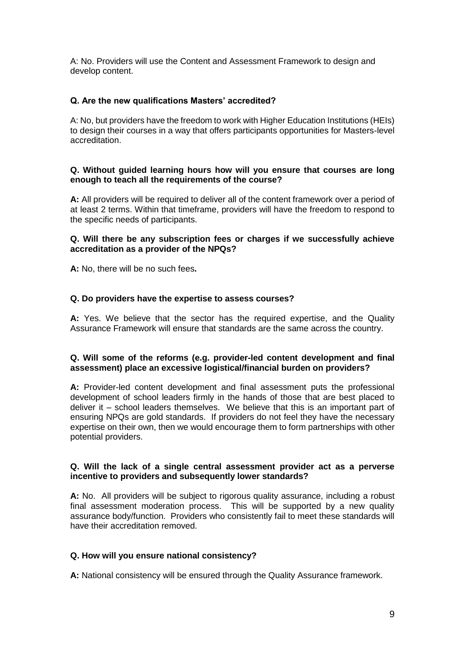A: No. Providers will use the Content and Assessment Framework to design and develop content.

# **Q. Are the new qualifications Masters' accredited?**

A: No, but providers have the freedom to work with Higher Education Institutions (HEIs) to design their courses in a way that offers participants opportunities for Masters-level accreditation.

## **Q. Without guided learning hours how will you ensure that courses are long enough to teach all the requirements of the course?**

**A:** All providers will be required to deliver all of the content framework over a period of at least 2 terms. Within that timeframe, providers will have the freedom to respond to the specific needs of participants.

## **Q. Will there be any subscription fees or charges if we successfully achieve accreditation as a provider of the NPQs?**

**A:** No, there will be no such fees**.**

## **Q. Do providers have the expertise to assess courses?**

**A:** Yes. We believe that the sector has the required expertise, and the Quality Assurance Framework will ensure that standards are the same across the country.

## **Q. Will some of the reforms (e.g. provider-led content development and final assessment) place an excessive logistical/financial burden on providers?**

**A:** Provider-led content development and final assessment puts the professional development of school leaders firmly in the hands of those that are best placed to deliver it – school leaders themselves. We believe that this is an important part of ensuring NPQs are gold standards. If providers do not feel they have the necessary expertise on their own, then we would encourage them to form partnerships with other potential providers.

## **Q. Will the lack of a single central assessment provider act as a perverse incentive to providers and subsequently lower standards?**

**A:** No. All providers will be subject to rigorous quality assurance, including a robust final assessment moderation process. This will be supported by a new quality assurance body/function. Providers who consistently fail to meet these standards will have their accreditation removed.

## **Q. How will you ensure national consistency?**

**A:** National consistency will be ensured through the Quality Assurance framework.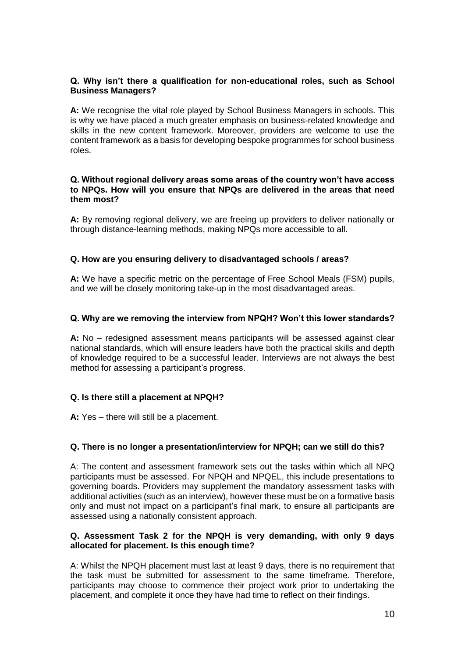## **Q. Why isn't there a qualification for non-educational roles, such as School Business Managers?**

**A:** We recognise the vital role played by School Business Managers in schools. This is why we have placed a much greater emphasis on business-related knowledge and skills in the new content framework. Moreover, providers are welcome to use the content framework as a basis for developing bespoke programmes for school business roles.

## **Q. Without regional delivery areas some areas of the country won't have access to NPQs. How will you ensure that NPQs are delivered in the areas that need them most?**

**A:** By removing regional delivery, we are freeing up providers to deliver nationally or through distance-learning methods, making NPQs more accessible to all.

## **Q. How are you ensuring delivery to disadvantaged schools / areas?**

**A:** We have a specific metric on the percentage of Free School Meals (FSM) pupils, and we will be closely monitoring take-up in the most disadvantaged areas.

# **Q. Why are we removing the interview from NPQH? Won't this lower standards?**

**A:** No – redesigned assessment means participants will be assessed against clear national standards, which will ensure leaders have both the practical skills and depth of knowledge required to be a successful leader. Interviews are not always the best method for assessing a participant's progress.

## **Q. Is there still a placement at NPQH?**

**A:** Yes – there will still be a placement.

## **Q. There is no longer a presentation/interview for NPQH; can we still do this?**

A: The content and assessment framework sets out the tasks within which all NPQ participants must be assessed. For NPQH and NPQEL, this include presentations to governing boards. Providers may supplement the mandatory assessment tasks with additional activities (such as an interview), however these must be on a formative basis only and must not impact on a participant's final mark, to ensure all participants are assessed using a nationally consistent approach.

## **Q. Assessment Task 2 for the NPQH is very demanding, with only 9 days allocated for placement. Is this enough time?**

A: Whilst the NPQH placement must last at least 9 days, there is no requirement that the task must be submitted for assessment to the same timeframe. Therefore, participants may choose to commence their project work prior to undertaking the placement, and complete it once they have had time to reflect on their findings.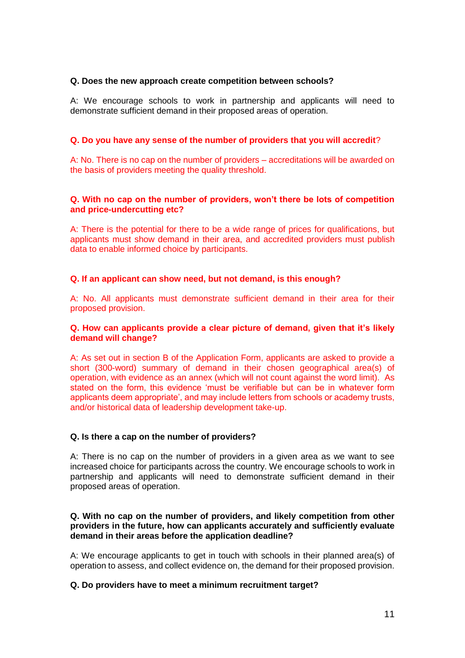## **Q. Does the new approach create competition between schools?**

A: We encourage schools to work in partnership and applicants will need to demonstrate sufficient demand in their proposed areas of operation.

## **Q. Do you have any sense of the number of providers that you will accredit**?

A: No. There is no cap on the number of providers – accreditations will be awarded on the basis of providers meeting the quality threshold.

## **Q. With no cap on the number of providers, won't there be lots of competition and price-undercutting etc?**

A: There is the potential for there to be a wide range of prices for qualifications, but applicants must show demand in their area, and accredited providers must publish data to enable informed choice by participants.

## **Q. If an applicant can show need, but not demand, is this enough?**

A: No. All applicants must demonstrate sufficient demand in their area for their proposed provision.

## **Q. How can applicants provide a clear picture of demand, given that it's likely demand will change?**

A: As set out in section B of the Application Form, applicants are asked to provide a short (300-word) summary of demand in their chosen geographical area(s) of operation, with evidence as an annex (which will not count against the word limit). As stated on the form, this evidence 'must be verifiable but can be in whatever form applicants deem appropriate', and may include letters from schools or academy trusts, and/or historical data of leadership development take-up.

#### **Q. Is there a cap on the number of providers?**

A: There is no cap on the number of providers in a given area as we want to see increased choice for participants across the country. We encourage schools to work in partnership and applicants will need to demonstrate sufficient demand in their proposed areas of operation.

### **Q. With no cap on the number of providers, and likely competition from other providers in the future, how can applicants accurately and sufficiently evaluate demand in their areas before the application deadline?**

A: We encourage applicants to get in touch with schools in their planned area(s) of operation to assess, and collect evidence on, the demand for their proposed provision.

## **Q. Do providers have to meet a minimum recruitment target?**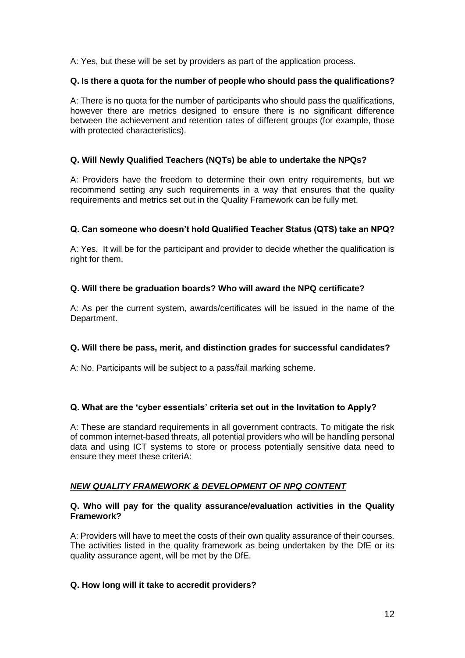A: Yes, but these will be set by providers as part of the application process.

## **Q. Is there a quota for the number of people who should pass the qualifications?**

A: There is no quota for the number of participants who should pass the qualifications, however there are metrics designed to ensure there is no significant difference between the achievement and retention rates of different groups (for example, those with protected characteristics).

## **Q. Will Newly Qualified Teachers (NQTs) be able to undertake the NPQs?**

A: Providers have the freedom to determine their own entry requirements, but we recommend setting any such requirements in a way that ensures that the quality requirements and metrics set out in the Quality Framework can be fully met.

## **Q. Can someone who doesn't hold Qualified Teacher Status (QTS) take an NPQ?**

A: Yes. It will be for the participant and provider to decide whether the qualification is right for them.

## **Q. Will there be graduation boards? Who will award the NPQ certificate?**

A: As per the current system, awards/certificates will be issued in the name of the Department.

#### **Q. Will there be pass, merit, and distinction grades for successful candidates?**

A: No. Participants will be subject to a pass/fail marking scheme.

## **Q. What are the 'cyber essentials' criteria set out in the Invitation to Apply?**

A: These are standard requirements in all government contracts. To mitigate the risk of common internet-based threats, all potential providers who will be handling personal data and using ICT systems to store or process potentially sensitive data need to ensure they meet these criteriA:

## *NEW QUALITY FRAMEWORK & DEVELOPMENT OF NPQ CONTENT*

#### **Q. Who will pay for the quality assurance/evaluation activities in the Quality Framework?**

A: Providers will have to meet the costs of their own quality assurance of their courses. The activities listed in the quality framework as being undertaken by the DfE or its quality assurance agent, will be met by the DfE.

#### **Q. How long will it take to accredit providers?**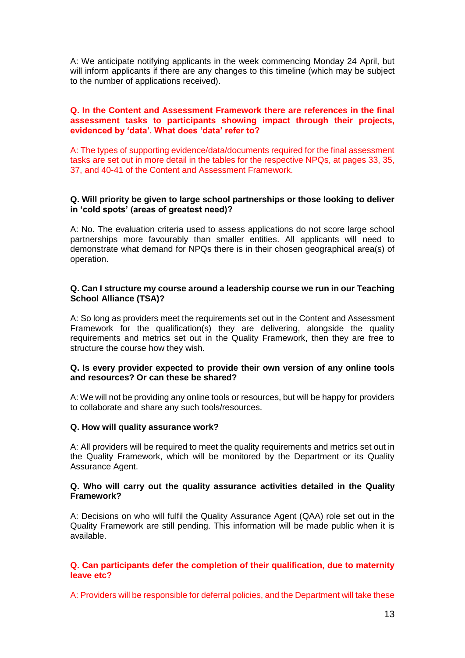A: We anticipate notifying applicants in the week commencing Monday 24 April, but will inform applicants if there are any changes to this timeline (which may be subject to the number of applications received).

## **Q. In the Content and Assessment Framework there are references in the final assessment tasks to participants showing impact through their projects, evidenced by 'data'. What does 'data' refer to?**

A: The types of supporting evidence/data/documents required for the final assessment tasks are set out in more detail in the tables for the respective NPQs, at pages 33, 35, 37, and 40-41 of the Content and Assessment Framework.

## **Q. Will priority be given to large school partnerships or those looking to deliver in 'cold spots' (areas of greatest need)?**

A: No. The evaluation criteria used to assess applications do not score large school partnerships more favourably than smaller entities. All applicants will need to demonstrate what demand for NPQs there is in their chosen geographical area(s) of operation.

#### **Q. Can I structure my course around a leadership course we run in our Teaching School Alliance (TSA)?**

A: So long as providers meet the requirements set out in the Content and Assessment Framework for the qualification(s) they are delivering, alongside the quality requirements and metrics set out in the Quality Framework, then they are free to structure the course how they wish.

#### **Q. Is every provider expected to provide their own version of any online tools and resources? Or can these be shared?**

A: We will not be providing any online tools or resources, but will be happy for providers to collaborate and share any such tools/resources.

#### **Q. How will quality assurance work?**

A: All providers will be required to meet the quality requirements and metrics set out in the Quality Framework, which will be monitored by the Department or its Quality Assurance Agent.

#### **Q. Who will carry out the quality assurance activities detailed in the Quality Framework?**

A: Decisions on who will fulfil the Quality Assurance Agent (QAA) role set out in the Quality Framework are still pending. This information will be made public when it is available.

## **Q. Can participants defer the completion of their qualification, due to maternity leave etc?**

A: Providers will be responsible for deferral policies, and the Department will take these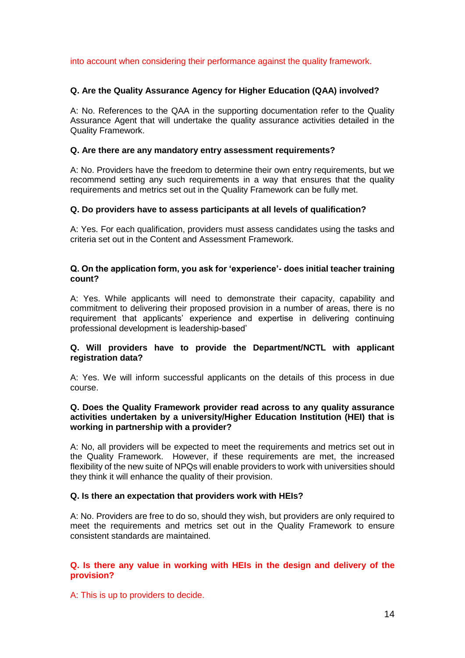into account when considering their performance against the quality framework.

## **Q. Are the Quality Assurance Agency for Higher Education (QAA) involved?**

A: No. References to the QAA in the supporting documentation refer to the Quality Assurance Agent that will undertake the quality assurance activities detailed in the Quality Framework.

## **Q. Are there are any mandatory entry assessment requirements?**

A: No. Providers have the freedom to determine their own entry requirements, but we recommend setting any such requirements in a way that ensures that the quality requirements and metrics set out in the Quality Framework can be fully met.

## **Q. Do providers have to assess participants at all levels of qualification?**

A: Yes. For each qualification, providers must assess candidates using the tasks and criteria set out in the Content and Assessment Framework.

## **Q. On the application form, you ask for 'experience'- does initial teacher training count?**

A: Yes. While applicants will need to demonstrate their capacity, capability and commitment to delivering their proposed provision in a number of areas, there is no requirement that applicants' experience and expertise in delivering continuing professional development is leadership-based'

## **Q. Will providers have to provide the Department/NCTL with applicant registration data?**

A: Yes. We will inform successful applicants on the details of this process in due course.

## **Q. Does the Quality Framework provider read across to any quality assurance activities undertaken by a university/Higher Education Institution (HEI) that is working in partnership with a provider?**

A: No, all providers will be expected to meet the requirements and metrics set out in the Quality Framework. However, if these requirements are met, the increased flexibility of the new suite of NPQs will enable providers to work with universities should they think it will enhance the quality of their provision.

#### **Q. Is there an expectation that providers work with HEIs?**

A: No. Providers are free to do so, should they wish, but providers are only required to meet the requirements and metrics set out in the Quality Framework to ensure consistent standards are maintained.

## **Q. Is there any value in working with HEIs in the design and delivery of the provision?**

A: This is up to providers to decide.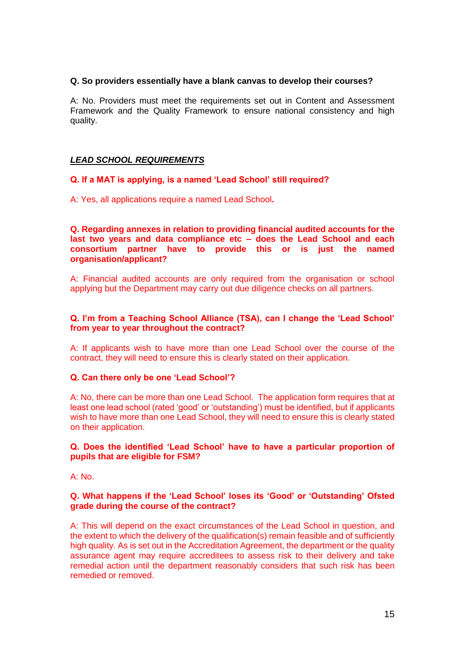## **Q. So providers essentially have a blank canvas to develop their courses?**

A: No. Providers must meet the requirements set out in Content and Assessment Framework and the Quality Framework to ensure national consistency and high quality.

## *LEAD SCHOOL REQUIREMENTS*

## **Q. If a MAT is applying, is a named 'Lead School' still required?**

A: Yes, all applications require a named Lead School**.**

**Q. Regarding annexes in relation to providing financial audited accounts for the last two years and data compliance etc – does the Lead School and each consortium partner have to provide this or is just the named organisation/applicant?**

A: Financial audited accounts are only required from the organisation or school applying but the Department may carry out due diligence checks on all partners.

## **Q. I'm from a Teaching School Alliance (TSA), can I change the 'Lead School' from year to year throughout the contract?**

A: If applicants wish to have more than one Lead School over the course of the contract, they will need to ensure this is clearly stated on their application.

## **Q. Can there only be one 'Lead School'?**

A: No, there can be more than one Lead School. The application form requires that at least one lead school (rated 'good' or 'outstanding') must be identified, but if applicants wish to have more than one Lead School, they will need to ensure this is clearly stated on their application.

#### **Q. Does the identified 'Lead School' have to have a particular proportion of pupils that are eligible for FSM?**

A: No.

## **Q. What happens if the 'Lead School' loses its 'Good' or 'Outstanding' Ofsted grade during the course of the contract?**

A: This will depend on the exact circumstances of the Lead School in question, and the extent to which the delivery of the qualification(s) remain feasible and of sufficiently high quality. As is set out in the Accreditation Agreement, the department or the quality assurance agent may require accreditees to assess risk to their delivery and take remedial action until the department reasonably considers that such risk has been remedied or removed.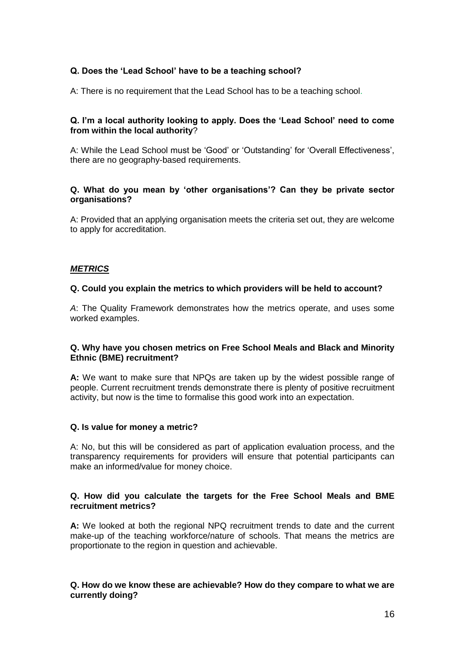# **Q. Does the 'Lead School' have to be a teaching school?**

A: There is no requirement that the Lead School has to be a teaching school.

## **Q. I'm a local authority looking to apply. Does the 'Lead School' need to come from within the local authority**?

A: While the Lead School must be 'Good' or 'Outstanding' for 'Overall Effectiveness', there are no geography-based requirements.

## **Q. What do you mean by 'other organisations'? Can they be private sector organisations?**

A: Provided that an applying organisation meets the criteria set out, they are welcome to apply for accreditation.

## *METRICS*

## **Q. Could you explain the metrics to which providers will be held to account?**

*A*: The Quality Framework demonstrates how the metrics operate, and uses some worked examples.

## **Q. Why have you chosen metrics on Free School Meals and Black and Minority Ethnic (BME) recruitment?**

**A:** We want to make sure that NPQs are taken up by the widest possible range of people. Current recruitment trends demonstrate there is plenty of positive recruitment activity, but now is the time to formalise this good work into an expectation.

#### **Q. Is value for money a metric?**

A: No, but this will be considered as part of application evaluation process, and the transparency requirements for providers will ensure that potential participants can make an informed/value for money choice.

## **Q. How did you calculate the targets for the Free School Meals and BME recruitment metrics?**

**A:** We looked at both the regional NPQ recruitment trends to date and the current make-up of the teaching workforce/nature of schools. That means the metrics are proportionate to the region in question and achievable.

## **Q. How do we know these are achievable? How do they compare to what we are currently doing?**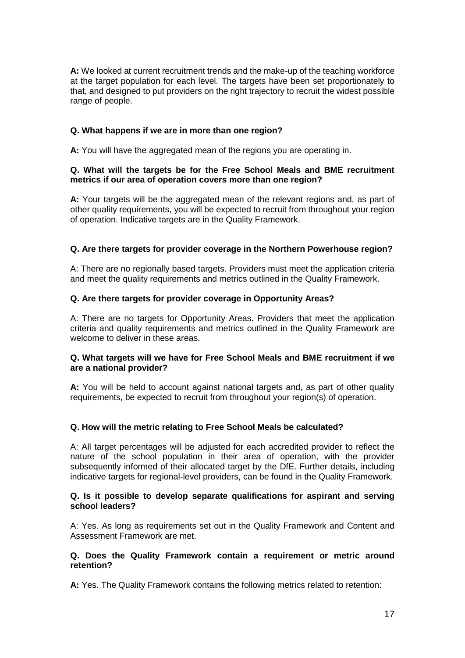**A:** We looked at current recruitment trends and the make-up of the teaching workforce at the target population for each level. The targets have been set proportionately to that, and designed to put providers on the right trajectory to recruit the widest possible range of people.

# **Q. What happens if we are in more than one region?**

**A:** You will have the aggregated mean of the regions you are operating in.

## **Q. What will the targets be for the Free School Meals and BME recruitment metrics if our area of operation covers more than one region?**

**A:** Your targets will be the aggregated mean of the relevant regions and, as part of other quality requirements, you will be expected to recruit from throughout your region of operation. Indicative targets are in the Quality Framework.

## **Q. Are there targets for provider coverage in the Northern Powerhouse region?**

A: There are no regionally based targets. Providers must meet the application criteria and meet the quality requirements and metrics outlined in the Quality Framework.

## **Q. Are there targets for provider coverage in Opportunity Areas?**

A: There are no targets for Opportunity Areas. Providers that meet the application criteria and quality requirements and metrics outlined in the Quality Framework are welcome to deliver in these areas.

## **Q. What targets will we have for Free School Meals and BME recruitment if we are a national provider?**

**A:** You will be held to account against national targets and, as part of other quality requirements, be expected to recruit from throughout your region(s) of operation.

## **Q. How will the metric relating to Free School Meals be calculated?**

A: All target percentages will be adjusted for each accredited provider to reflect the nature of the school population in their area of operation, with the provider subsequently informed of their allocated target by the DfE. Further details, including indicative targets for regional-level providers, can be found in the Quality Framework.

#### **Q. Is it possible to develop separate qualifications for aspirant and serving school leaders?**

A: Yes. As long as requirements set out in the Quality Framework and Content and Assessment Framework are met.

#### **Q. Does the Quality Framework contain a requirement or metric around retention?**

**A:** Yes. The Quality Framework contains the following metrics related to retention: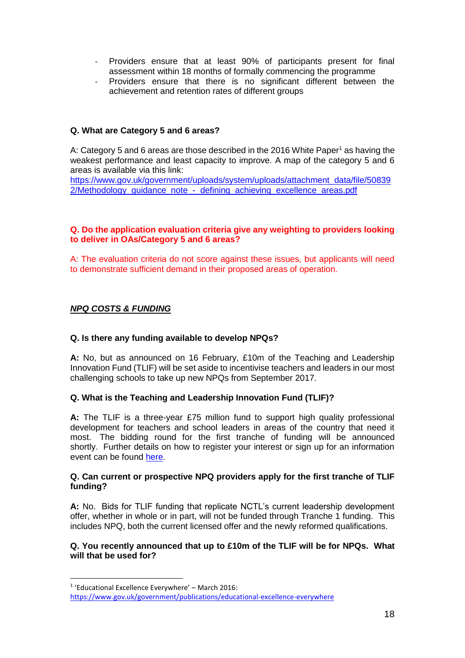- Providers ensure that at least 90% of participants present for final assessment within 18 months of formally commencing the programme
- Providers ensure that there is no significant different between the achievement and retention rates of different groups

# **Q. What are Category 5 and 6 areas?**

A: Category 5 and 6 areas are those described in the 2016 White Paper<sup>1</sup> as having the weakest performance and least capacity to improve. A map of the category 5 and 6 areas is available via this link:

[https://www.gov.uk/government/uploads/system/uploads/attachment\\_data/file/50839](https://www.gov.uk/government/uploads/system/uploads/attachment_data/file/508392/Methodology_guidance_note_-_defining_achieving_excellence_areas.pdf) 2/Methodology\_guidance\_note - defining\_achieving\_excellence\_areas.pdf

## **Q. Do the application evaluation criteria give any weighting to providers looking to deliver in OAs/Category 5 and 6 areas?**

A: The evaluation criteria do not score against these issues, but applicants will need to demonstrate sufficient demand in their proposed areas of operation.

# *NPQ COSTS & FUNDING*

1

## **Q. Is there any funding available to develop NPQs?**

**A:** No, but as announced on 16 February, £10m of the Teaching and Leadership Innovation Fund (TLIF) will be set aside to incentivise teachers and leaders in our most challenging schools to take up new NPQs from September 2017.

## **Q. What is the Teaching and Leadership Innovation Fund (TLIF)?**

**A:** The TLIF is a three-year £75 million fund to support high quality professional development for teachers and school leaders in areas of the country that need it most. The bidding round for the first tranche of funding will be announced shortly. Further details on how to register your interest or sign up for an information event can be found [here.](https://www.gov.uk/guidance/teaching-and-leadership-innovation-fund)

#### **Q. Can current or prospective NPQ providers apply for the first tranche of TLIF funding?**

**A:** No. Bids for TLIF funding that replicate NCTL's current leadership development offer, whether in whole or in part, will not be funded through Tranche 1 funding. This includes NPQ, both the current licensed offer and the newly reformed qualifications.

## **Q. You recently announced that up to £10m of the TLIF will be for NPQs. What will that be used for?**

<sup>1</sup> 'Educational Excellence Everywhere' – March 2016:

<https://www.gov.uk/government/publications/educational-excellence-everywhere>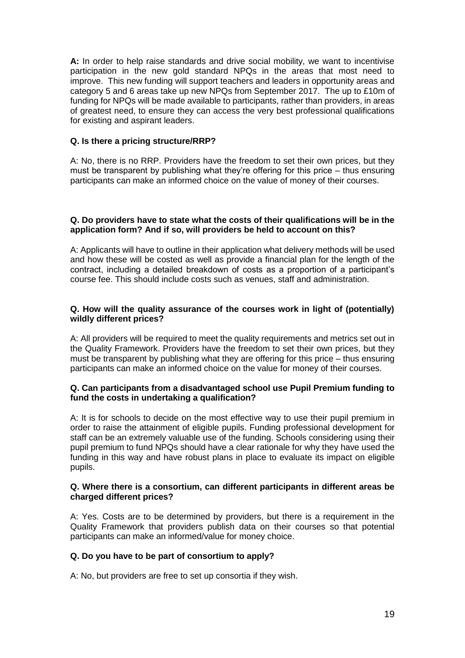**A:** In order to help raise standards and drive social mobility, we want to incentivise participation in the new gold standard NPQs in the areas that most need to improve. This new funding will support teachers and leaders in opportunity areas and category 5 and 6 areas take up new NPQs from September 2017. The up to £10m of funding for NPQs will be made available to participants, rather than providers, in areas of greatest need, to ensure they can access the very best professional qualifications for existing and aspirant leaders.

## **Q. Is there a pricing structure/RRP?**

A: No, there is no RRP. Providers have the freedom to set their own prices, but they must be transparent by publishing what they're offering for this price – thus ensuring participants can make an informed choice on the value of money of their courses.

### **Q. Do providers have to state what the costs of their qualifications will be in the application form? And if so, will providers be held to account on this?**

A: Applicants will have to outline in their application what delivery methods will be used and how these will be costed as well as provide a financial plan for the length of the contract, including a detailed breakdown of costs as a proportion of a participant's course fee. This should include costs such as venues, staff and administration.

## **Q. How will the quality assurance of the courses work in light of (potentially) wildly different prices?**

A: All providers will be required to meet the quality requirements and metrics set out in the Quality Framework. Providers have the freedom to set their own prices, but they must be transparent by publishing what they are offering for this price – thus ensuring participants can make an informed choice on the value for money of their courses.

## **Q. Can participants from a disadvantaged school use Pupil Premium funding to fund the costs in undertaking a qualification?**

A: It is for schools to decide on the most effective way to use their pupil premium in order to raise the attainment of eligible pupils. Funding professional development for staff can be an extremely valuable use of the funding. Schools considering using their pupil premium to fund NPQs should have a clear rationale for why they have used the funding in this way and have robust plans in place to evaluate its impact on eligible pupils.

## **Q. Where there is a consortium, can different participants in different areas be charged different prices?**

A: Yes. Costs are to be determined by providers, but there is a requirement in the Quality Framework that providers publish data on their courses so that potential participants can make an informed/value for money choice.

#### **Q. Do you have to be part of consortium to apply?**

A: No, but providers are free to set up consortia if they wish.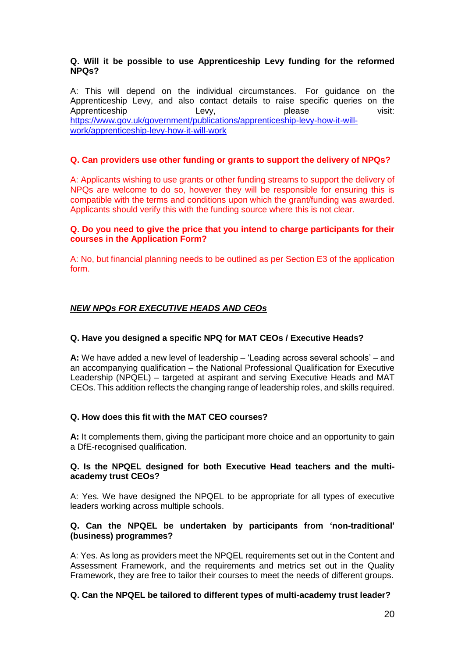## **Q. Will it be possible to use Apprenticeship Levy funding for the reformed NPQs?**

A: This will depend on the individual circumstances. For guidance on the Apprenticeship Levy, and also contact details to raise specific queries on the<br>Apprenticeship Levy, every, please prese visit: Apprenticeship Levy, please visit: [https://www.gov.uk/government/publications/apprenticeship-levy-how-it-will](https://www.gov.uk/government/publications/apprenticeship-levy-how-it-will-work/apprenticeship-levy-how-it-will-work)[work/apprenticeship-levy-how-it-will-work](https://www.gov.uk/government/publications/apprenticeship-levy-how-it-will-work/apprenticeship-levy-how-it-will-work)

## **Q. Can providers use other funding or grants to support the delivery of NPQs?**

A: Applicants wishing to use grants or other funding streams to support the delivery of NPQs are welcome to do so, however they will be responsible for ensuring this is compatible with the terms and conditions upon which the grant/funding was awarded. Applicants should verify this with the funding source where this is not clear.

## **Q. Do you need to give the price that you intend to charge participants for their courses in the Application Form?**

A: No, but financial planning needs to be outlined as per Section E3 of the application form.

# *NEW NPQs FOR EXECUTIVE HEADS AND CEOs*

## **Q. Have you designed a specific NPQ for MAT CEOs / Executive Heads?**

**A:** We have added a new level of leadership – 'Leading across several schools' – and an accompanying qualification – the National Professional Qualification for Executive Leadership (NPQEL) – targeted at aspirant and serving Executive Heads and MAT CEOs. This addition reflects the changing range of leadership roles, and skills required.

## **Q. How does this fit with the MAT CEO courses?**

**A:** It complements them, giving the participant more choice and an opportunity to gain a DfE-recognised qualification.

## **Q. Is the NPQEL designed for both Executive Head teachers and the multiacademy trust CEOs?**

A: Yes. We have designed the NPQEL to be appropriate for all types of executive leaders working across multiple schools.

## **Q. Can the NPQEL be undertaken by participants from 'non-traditional' (business) programmes?**

A: Yes. As long as providers meet the NPQEL requirements set out in the Content and Assessment Framework, and the requirements and metrics set out in the Quality Framework, they are free to tailor their courses to meet the needs of different groups.

## **Q. Can the NPQEL be tailored to different types of multi-academy trust leader?**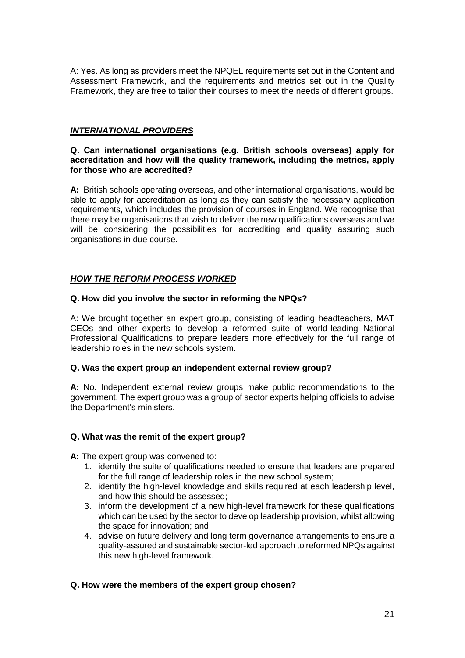A: Yes. As long as providers meet the NPQEL requirements set out in the Content and Assessment Framework, and the requirements and metrics set out in the Quality Framework, they are free to tailor their courses to meet the needs of different groups.

# *INTERNATIONAL PROVIDERS*

## **Q. Can international organisations (e.g. British schools overseas) apply for accreditation and how will the quality framework, including the metrics, apply for those who are accredited?**

**A:** British schools operating overseas, and other international organisations, would be able to apply for accreditation as long as they can satisfy the necessary application requirements, which includes the provision of courses in England. We recognise that there may be organisations that wish to deliver the new qualifications overseas and we will be considering the possibilities for accrediting and quality assuring such organisations in due course.

# *HOW THE REFORM PROCESS WORKED*

## **Q. How did you involve the sector in reforming the NPQs?**

A: We brought together an expert group, consisting of leading headteachers, MAT CEOs and other experts to develop a reformed suite of world-leading National Professional Qualifications to prepare leaders more effectively for the full range of leadership roles in the new schools system.

## **Q. Was the expert group an independent external review group?**

**A:** No. Independent external review groups make public recommendations to the government. The expert group was a group of sector experts helping officials to advise the Department's ministers.

## **Q. What was the remit of the expert group?**

**A:** The expert group was convened to:

- 1. identify the suite of qualifications needed to ensure that leaders are prepared for the full range of leadership roles in the new school system;
- 2. identify the high-level knowledge and skills required at each leadership level, and how this should be assessed;
- 3. inform the development of a new high-level framework for these qualifications which can be used by the sector to develop leadership provision, whilst allowing the space for innovation; and
- 4. advise on future delivery and long term governance arrangements to ensure a quality-assured and sustainable sector-led approach to reformed NPQs against this new high-level framework.

## **Q. How were the members of the expert group chosen?**